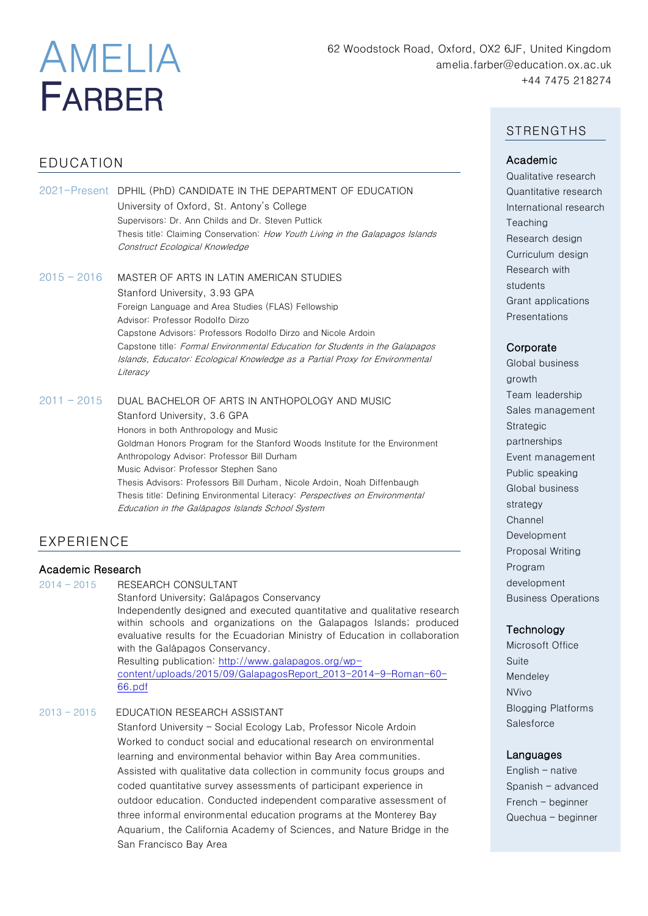# AMELIA FARBER

# EDUCATION

|               | 2021-Present DPHIL (PhD) CANDIDATE IN THE DEPARTMENT OF EDUCATION<br>University of Oxford, St. Antony's College<br>Supervisors: Dr. Ann Childs and Dr. Steven Puttick<br>Thesis title: Claiming Conservation: How Youth Living in the Galapagos Islands<br>Construct Ecological Knowledge                                                                                                                                                                                                                             |
|---------------|-----------------------------------------------------------------------------------------------------------------------------------------------------------------------------------------------------------------------------------------------------------------------------------------------------------------------------------------------------------------------------------------------------------------------------------------------------------------------------------------------------------------------|
| $2015 - 2016$ | MASTER OF ARTS IN LATIN AMERICAN STUDIES<br>Stanford University, 3.93 GPA<br>Foreign Language and Area Studies (FLAS) Fellowship<br>Advisor: Professor Rodolfo Dirzo<br>Capstone Advisors: Professors Rodolfo Dirzo and Nicole Ardoin<br>Capstone title: Formal Environmental Education for Students in the Galapagos<br>Islands, Educator: Ecological Knowledge as a Partial Proxy for Environmental<br>Literacy                                                                                                     |
| $2011 - 2015$ | DUAL BACHELOR OF ARTS IN ANTHOPOLOGY AND MUSIC<br>Stanford University, 3.6 GPA<br>Honors in both Anthropology and Music<br>Goldman Honors Program for the Stanford Woods Institute for the Environment<br>Anthropology Advisor: Professor Bill Durham<br>Music Advisor: Professor Stephen Sano<br>Thesis Advisors: Professors Bill Durham, Nicole Ardoin, Noah Diffenbaugh<br>Thesis title: Defining Environmental Literacy: <i>Perspectives on Environmental</i><br>Education in the Galápagos Islands School System |

# EXPERIENCE

## Academic Research

2014 – 2015 RESEARCH CONSULTANT

Stanford University; Galápagos Conservancy Independently designed and executed quantitative and qualitative research within schools and organizations on the Galapagos Islands; produced evaluative results for the Ecuadorian Ministry of Education in collaboration with the Galápagos Conservancy.

Resulting publication: [http://www.galapagos.org/wp](http://www.galapagos.org/wp-content/uploads/2015/09/GalapagosReport_2013-2014-9-Roman-60-66.pdf)[content/uploads/2015/09/GalapagosReport\\_2013-2014-9-Roman-60-](http://www.galapagos.org/wp-content/uploads/2015/09/GalapagosReport_2013-2014-9-Roman-60-66.pdf) [66.pdf](http://www.galapagos.org/wp-content/uploads/2015/09/GalapagosReport_2013-2014-9-Roman-60-66.pdf)

## 2013 – 2015 EDUCATION RESEARCH ASSISTANT

 Stanford University – Social Ecology Lab, Professor Nicole Ardoin Worked to conduct social and educational research on environmental learning and environmental behavior within Bay Area communities. Assisted with qualitative data collection in community focus groups and coded quantitative survey assessments of participant experience in outdoor education. Conducted independent comparative assessment of three informal environmental education programs at the Monterey Bay Aquarium, the California Academy of Sciences, and Nature Bridge in the San Francisco Bay Area

## **STRENGTHS**

## Academic

Qualitative research Quantitative research International research **Teaching** Research design Curriculum design Research with students Grant applications Presentations

## **Corporate**

Global business growth Team leadership Sales management Strategic partnerships Event management Public speaking Global business strategy Channel Development Proposal Writing Program development Business Operations

## **Technology**

Microsoft Office Suite Mendeley NVivo Blogging Platforms **Salesforce** 

#### Languages

English – native Spanish – advanced French – beginner Quechua – beginner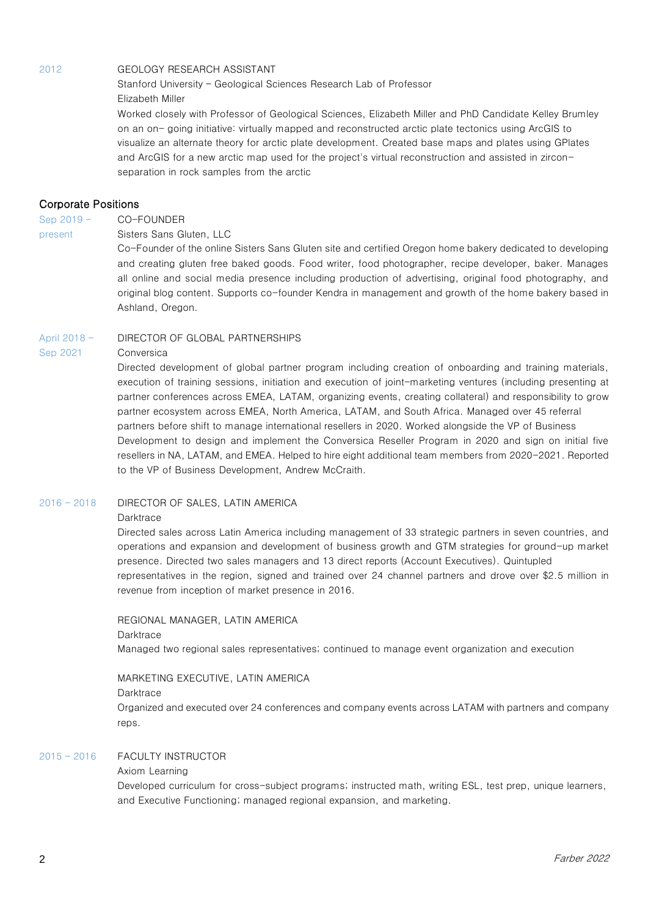#### 2012 GEOLOGY RESEARCH ASSISTANT

Stanford University – Geological Sciences Research Lab of Professor Elizabeth Miller

Worked closely with Professor of Geological Sciences, Elizabeth Miller and PhD Candidate Kelley Brumley on an on- going initiative: virtually mapped and reconstructed arctic plate tectonics using ArcGIS to visualize an alternate theory for arctic plate development. Created base maps and plates using GPlates and ArcGIS for a new arctic map used for the project's virtual reconstruction and assisted in zirconseparation in rock samples from the arctic

#### Corporate Positions

Sep 2019 – CO-FOUNDER

present Sisters Sans Gluten, LLC

Co-Founder of the online Sisters Sans Gluten site and certified Oregon home bakery dedicated to developing and creating gluten free baked goods. Food writer, food photographer, recipe developer, baker. Manages all online and social media presence including production of advertising, original food photography, and original blog content. Supports co-founder Kendra in management and growth of the home bakery based in Ashland, Oregon.

#### April 2018 - DIRECTOR OF GLOBAL PARTNERSHIPS

#### Sep 2021 Conversica

 Directed development of global partner program including creation of onboarding and training materials, execution of training sessions, initiation and execution of joint-marketing ventures (including presenting at partner conferences across EMEA, LATAM, organizing events, creating collateral) and responsibility to grow partner ecosystem across EMEA, North America, LATAM, and South Africa. Managed over 45 referral partners before shift to manage international resellers in 2020. Worked alongside the VP of Business Development to design and implement the Conversica Reseller Program in 2020 and sign on initial five resellers in NA, LATAM, and EMEA. Helped to hire eight additional team members from 2020-2021. Reported to the VP of Business Development, Andrew McCraith.

#### 2016 – 2018 DIRECTOR OF SALES, LATIN AMERICA

#### **Darktrace**

Directed sales across Latin America including management of 33 strategic partners in seven countries, and operations and expansion and development of business growth and GTM strategies for ground-up market presence. Directed two sales managers and 13 direct reports (Account Executives). Quintupled representatives in the region, signed and trained over 24 channel partners and drove over \$2.5 million in revenue from inception of market presence in 2016.

REGIONAL MANAGER, LATIN AMERICA

#### **Darktrace**

Managed two regional sales representatives; continued to manage event organization and execution

#### MARKETING EXECUTIVE, LATIN AMERICA

#### **Darktrace**

Organized and executed over 24 conferences and company events across LATAM with partners and company reps.

#### 2015 – 2016 FACULTY INSTRUCTOR

#### Axiom Learning

Developed curriculum for cross-subject programs; instructed math, writing ESL, test prep, unique learners, and Executive Functioning; managed regional expansion, and marketing.